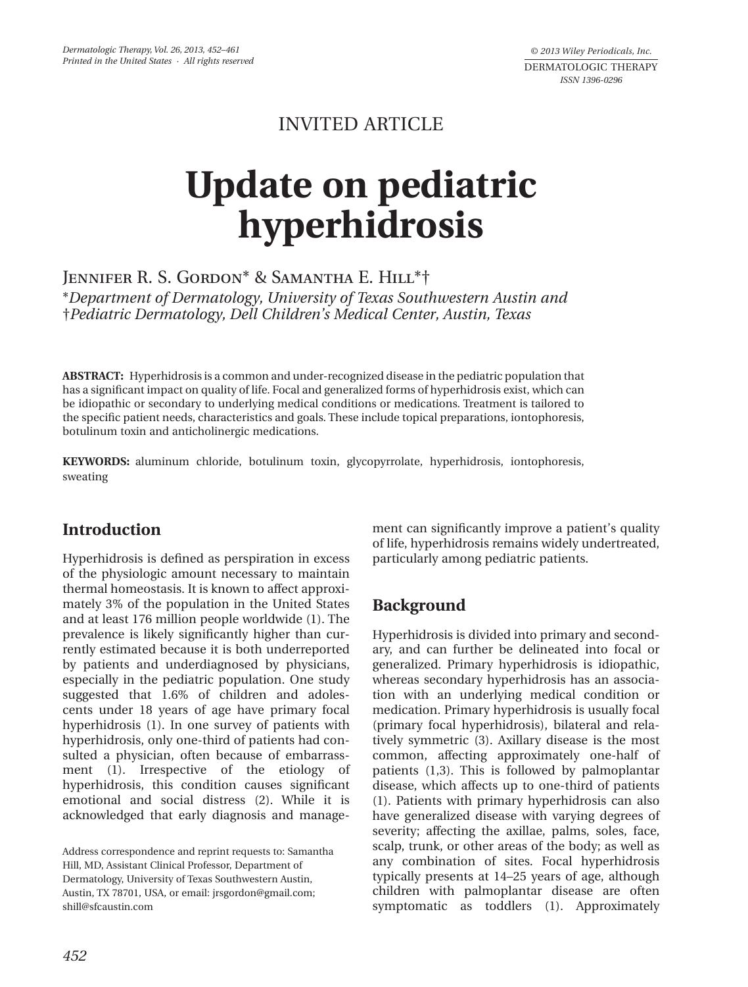## INVITED ARTICLE

# **Update on pediatric hyperhidrosis**

Jennifer R. S. Gordon\* & Samantha E. Hill\*†

\**Department of Dermatology, University of Texas Southwestern Austin and* †*Pediatric Dermatology, Dell Children's Medical Center, Austin, Texas*

**ABSTRACT:** Hyperhidrosis is a common and under-recognized disease in the pediatric population that has a significant impact on quality of life. Focal and generalized forms of hyperhidrosis exist, which can be idiopathic or secondary to underlying medical conditions or medications. Treatment is tailored to the specific patient needs, characteristics and goals. These include topical preparations, iontophoresis, botulinum toxin and anticholinergic medications.

**KEYWORDS:** aluminum chloride, botulinum toxin, glycopyrrolate, hyperhidrosis, iontophoresis, sweating

#### **Introduction**

Hyperhidrosis is defined as perspiration in excess of the physiologic amount necessary to maintain thermal homeostasis. It is known to affect approximately 3% of the population in the United States and at least 176 million people worldwide (1). The prevalence is likely significantly higher than currently estimated because it is both underreported by patients and underdiagnosed by physicians, especially in the pediatric population. One study suggested that 1.6% of children and adolescents under 18 years of age have primary focal hyperhidrosis (1). In one survey of patients with hyperhidrosis, only one-third of patients had consulted a physician, often because of embarrassment (1). Irrespective of the etiology of hyperhidrosis, this condition causes significant emotional and social distress (2). While it is acknowledged that early diagnosis and manage-

Address correspondence and reprint requests to: Samantha Hill, MD, Assistant Clinical Professor, Department of Dermatology, University of Texas Southwestern Austin, Austin, TX 78701, USA, or email: [jrsgordon@gmail.com;](mailto:jrsgordon@gmail.com) [shill@sfcaustin.com](mailto:shill@sfcaustin.com)

ment can significantly improve a patient's quality of life, hyperhidrosis remains widely undertreated, particularly among pediatric patients.

## **Background**

Hyperhidrosis is divided into primary and secondary, and can further be delineated into focal or generalized. Primary hyperhidrosis is idiopathic, whereas secondary hyperhidrosis has an association with an underlying medical condition or medication. Primary hyperhidrosis is usually focal (primary focal hyperhidrosis), bilateral and relatively symmetric (3). Axillary disease is the most common, affecting approximately one-half of patients (1,3). This is followed by palmoplantar disease, which affects up to one-third of patients (1). Patients with primary hyperhidrosis can also have generalized disease with varying degrees of severity; affecting the axillae, palms, soles, face, scalp, trunk, or other areas of the body; as well as any combination of sites. Focal hyperhidrosis typically presents at 14–25 years of age, although children with palmoplantar disease are often symptomatic as toddlers (1). Approximately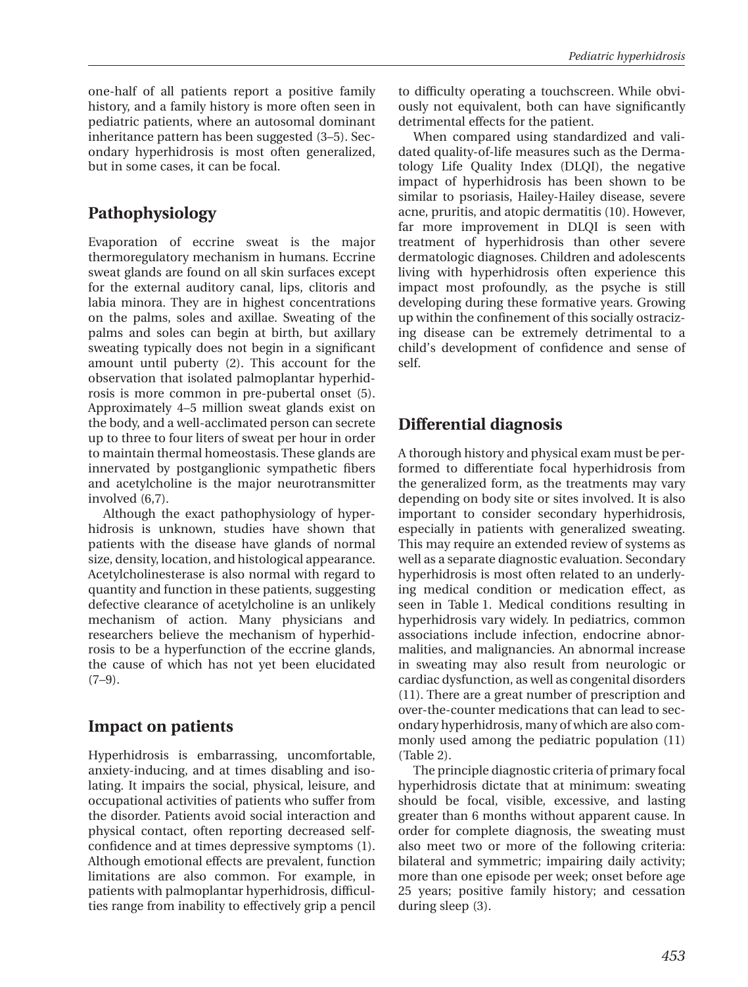one-half of all patients report a positive family history, and a family history is more often seen in pediatric patients, where an autosomal dominant inheritance pattern has been suggested (3–5). Secondary hyperhidrosis is most often generalized, but in some cases, it can be focal.

## **Pathophysiology**

Evaporation of eccrine sweat is the major thermoregulatory mechanism in humans. Eccrine sweat glands are found on all skin surfaces except for the external auditory canal, lips, clitoris and labia minora. They are in highest concentrations on the palms, soles and axillae. Sweating of the palms and soles can begin at birth, but axillary sweating typically does not begin in a significant amount until puberty (2). This account for the observation that isolated palmoplantar hyperhidrosis is more common in pre-pubertal onset (5). Approximately 4–5 million sweat glands exist on the body, and a well-acclimated person can secrete up to three to four liters of sweat per hour in order to maintain thermal homeostasis. These glands are innervated by postganglionic sympathetic fibers and acetylcholine is the major neurotransmitter involved (6,7).

Although the exact pathophysiology of hyperhidrosis is unknown, studies have shown that patients with the disease have glands of normal size, density, location, and histological appearance. Acetylcholinesterase is also normal with regard to quantity and function in these patients, suggesting defective clearance of acetylcholine is an unlikely mechanism of action. Many physicians and researchers believe the mechanism of hyperhidrosis to be a hyperfunction of the eccrine glands, the cause of which has not yet been elucidated  $(7-9)$ .

#### **Impact on patients**

Hyperhidrosis is embarrassing, uncomfortable, anxiety-inducing, and at times disabling and isolating. It impairs the social, physical, leisure, and occupational activities of patients who suffer from the disorder. Patients avoid social interaction and physical contact, often reporting decreased selfconfidence and at times depressive symptoms (1). Although emotional effects are prevalent, function limitations are also common. For example, in patients with palmoplantar hyperhidrosis, difficulties range from inability to effectively grip a pencil to difficulty operating a touchscreen. While obviously not equivalent, both can have significantly detrimental effects for the patient.

When compared using standardized and validated quality-of-life measures such as the Dermatology Life Quality Index (DLQI), the negative impact of hyperhidrosis has been shown to be similar to psoriasis, Hailey-Hailey disease, severe acne, pruritis, and atopic dermatitis (10). However, far more improvement in DLQI is seen with treatment of hyperhidrosis than other severe dermatologic diagnoses. Children and adolescents living with hyperhidrosis often experience this impact most profoundly, as the psyche is still developing during these formative years. Growing up within the confinement of this socially ostracizing disease can be extremely detrimental to a child's development of confidence and sense of self.

## **Differential diagnosis**

A thorough history and physical exam must be performed to differentiate focal hyperhidrosis from the generalized form, as the treatments may vary depending on body site or sites involved. It is also important to consider secondary hyperhidrosis, especially in patients with generalized sweating. This may require an extended review of systems as well as a separate diagnostic evaluation. Secondary hyperhidrosis is most often related to an underlying medical condition or medication effect, as seen in Table 1. Medical conditions resulting in hyperhidrosis vary widely. In pediatrics, common associations include infection, endocrine abnormalities, and malignancies. An abnormal increase in sweating may also result from neurologic or cardiac dysfunction, as well as congenital disorders (11). There are a great number of prescription and over-the-counter medications that can lead to secondary hyperhidrosis, many of which are also commonly used among the pediatric population (11) (Table 2).

The principle diagnostic criteria of primary focal hyperhidrosis dictate that at minimum: sweating should be focal, visible, excessive, and lasting greater than 6 months without apparent cause. In order for complete diagnosis, the sweating must also meet two or more of the following criteria: bilateral and symmetric; impairing daily activity; more than one episode per week; onset before age 25 years; positive family history; and cessation during sleep (3).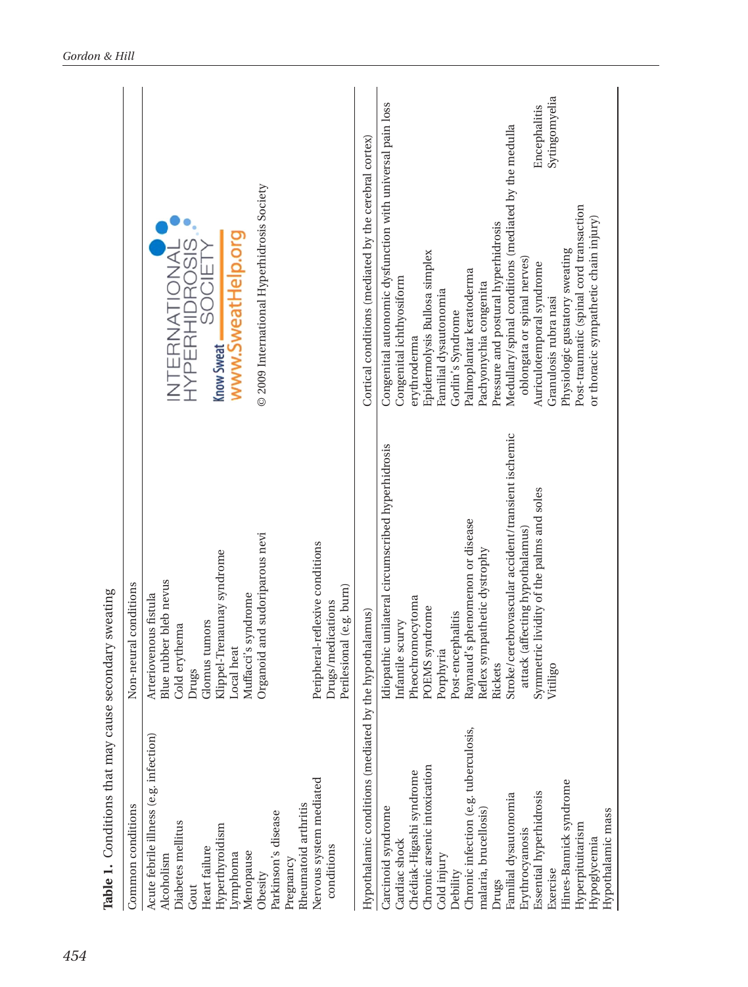| Table 1. Conditions that may cause secondary sweating                                                                                                                                                                                                                                                                                                                       |                                                                                                                                                                                                                                                                                                                                                                               |                                                                                                                                                                                                                                                                                                                                                                                                                                                                                                                                                                                       |
|-----------------------------------------------------------------------------------------------------------------------------------------------------------------------------------------------------------------------------------------------------------------------------------------------------------------------------------------------------------------------------|-------------------------------------------------------------------------------------------------------------------------------------------------------------------------------------------------------------------------------------------------------------------------------------------------------------------------------------------------------------------------------|---------------------------------------------------------------------------------------------------------------------------------------------------------------------------------------------------------------------------------------------------------------------------------------------------------------------------------------------------------------------------------------------------------------------------------------------------------------------------------------------------------------------------------------------------------------------------------------|
| Common conditions                                                                                                                                                                                                                                                                                                                                                           | Non-neural conditions                                                                                                                                                                                                                                                                                                                                                         |                                                                                                                                                                                                                                                                                                                                                                                                                                                                                                                                                                                       |
| Acute febrile illness (e.g. infection)<br>Nervous system mediated<br>Rheumatoid arthritis<br>Parkinson's disease<br>Diabetes mellitus<br>Hyperthyroidism<br>conditions<br>Heart failure<br>Menopause<br>Alcoholism<br>Lymphoma<br>Pregnancy<br>Obesity<br>Gout                                                                                                              | and sudoriparous nevi<br>Peripheral-reflexive conditions<br>Klippel-Trenaunay syndrome<br>Blue rubber bleb nevus<br>Perilesional (e.g. burn)<br>Arteriovenous fistula<br>Muffacci's syndrome<br>Drugs/medications<br>Glomus tumors<br>Cold erythema<br>Local heat<br>Organoid<br>Drugs                                                                                        | © 2009 International Hyperhidrosis Society<br>www.SweatHelp.org<br>JNAI<br>INTERNATIC<br>HYPERHIDR<br>Know Sweat -                                                                                                                                                                                                                                                                                                                                                                                                                                                                    |
| Hypothalamic conditions (mediated by the hypothalamus)                                                                                                                                                                                                                                                                                                                      |                                                                                                                                                                                                                                                                                                                                                                               | Cortical conditions (mediated by the cerebral cortex)                                                                                                                                                                                                                                                                                                                                                                                                                                                                                                                                 |
| Chronic infection (e.g. tuberculosis,<br>Chronic arsenic intoxication<br>Chédiak-Higashi syndrome<br>Hines-Bannick syndrome<br>Essential hyperhidrosis<br>Familial dysautonomia<br>Carcinoid syndrome<br>malaria, brucellosis)<br>Hypothalamic mass<br>Hyperpituitarism<br>Erythrocyanosis<br>Hypoglycemia<br>Cardiac shock<br>Cold injury<br>Exercise<br>Debility<br>Drugs | Stroke/cerebrovascular accident/transient ischemic<br>Idiopathic unilateral circumscribed hyperhidrosis<br>Symmetric lividity of the palms and soles<br>Raynaud's phenomenon or disease<br>attack (affecting hypothalamus)<br>Reflex sympathetic dystrophy<br>Pheochromocytoma<br>POEMS syndrome<br>Post-encephalitis<br>Infantile scurvy<br>Porphyria<br>Rickets<br>Vitiligo | Sytingomyelia<br>Congenital autonomic dysfunction with universal pain loss<br>Encephalitis<br>Medullary/spinal conditions (mediated by the medulla<br>Post-traumatic (spinal cord transaction<br>or thoracic sympathetic chain injury)<br>Pressure and postural hyperhidrosis<br>Physiologic gustatory sweating<br>Epidermolysis Bullosa simplex<br>oblongata or spinal nerves)<br>Auriculotemporal syndrome<br>Palmoplantar keratoderma<br>Congenital ichthyosiform<br>Pachyonychia congenita<br>Familial dysautonomia<br>Granulosis rubra nasi<br>Gorlin's Syndrome<br>erythroderma |
|                                                                                                                                                                                                                                                                                                                                                                             |                                                                                                                                                                                                                                                                                                                                                                               |                                                                                                                                                                                                                                                                                                                                                                                                                                                                                                                                                                                       |

*Gordon & Hill*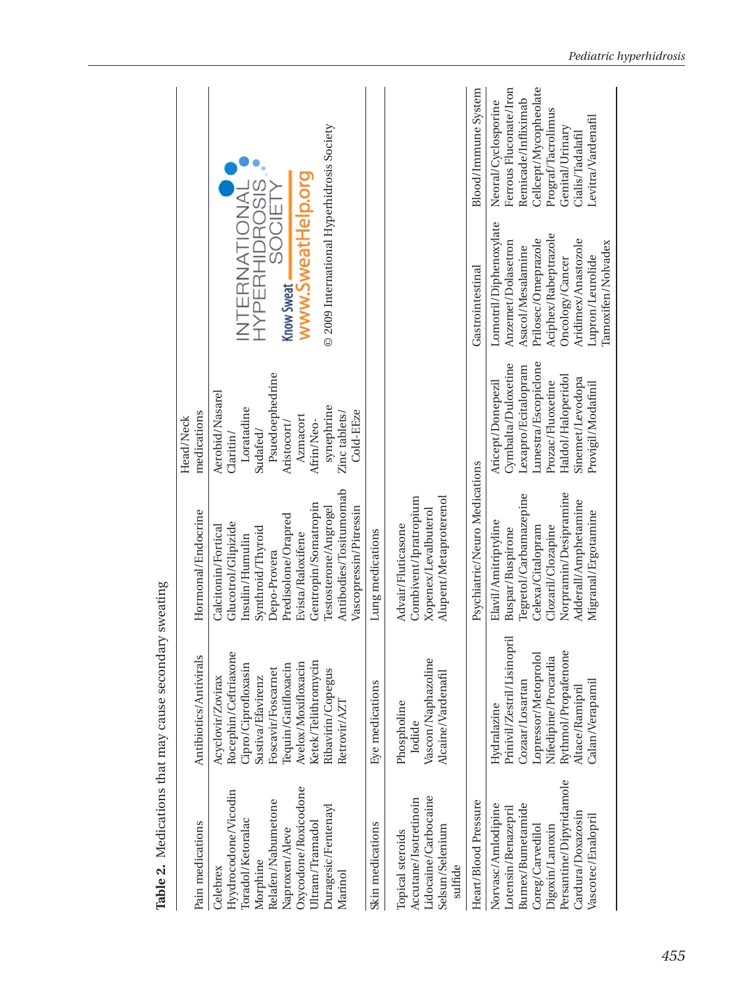| Pain medications                                                                                                                                                                       | Antibiotics/Antivirals                                                                                                                                                                                                | Hormonal/Endocrine                                                                                                                                                                                                                                  | medications<br>Head/Neck                                                                                                                                                     |                                                                                                                                                                                                      |                                                                                                                                                                                  |
|----------------------------------------------------------------------------------------------------------------------------------------------------------------------------------------|-----------------------------------------------------------------------------------------------------------------------------------------------------------------------------------------------------------------------|-----------------------------------------------------------------------------------------------------------------------------------------------------------------------------------------------------------------------------------------------------|------------------------------------------------------------------------------------------------------------------------------------------------------------------------------|------------------------------------------------------------------------------------------------------------------------------------------------------------------------------------------------------|----------------------------------------------------------------------------------------------------------------------------------------------------------------------------------|
| Oxycodone/Roxicodone<br>Hyydrocodone/Vicodin<br>Relafen/Nabumetone<br>Duragesic/Fentenayl<br>Toradol/Ketoralac<br>Ultram/Tramadol<br>Naproxen/Aleve<br>Morphine<br>Celebrex<br>Marinol | Rocephin/Ceftriaxone<br>Ketek/Telithromycin<br>Avelox/Moxifloxacin<br>Cipro/Ciprofloxasin<br>Tequin/Gatifloxacin<br>Foscavir/Foscarnet<br>Ribavirin/Copegus<br>Sustiva/Efavirenz<br>Acyclovir/Zovirax<br>Retrovir/AZT | Antibodies/Tositumomab<br>Gentropin/Somatropin<br>Testosterone/Angrogel<br>Vascopressin/Pitressin<br>Predisolone/Orapred<br>Glucotrol/Glipizide<br>Calcitonin/Fortical<br>Synthroid/Thyroid<br>Evista/Raloxifene<br>Insulin/Humulin<br>Depo-Provera | Psuedoephedrine<br>Aerobid/Nasarel<br>synephrine<br>Loratadine<br>Zinc tablets/<br>Cold-EEze<br>Azmacort<br>Afrin/Neo-<br>Aristocort/<br>Sudafed/<br>Claritin/               | $\circledcirc$ 2009 International Hyperhidrosis Society<br>www.SweatHelp.org<br>HYPERHIDROSIS<br>INTERNATIONAL<br>SOCIET<br>Know Sweat -                                                             |                                                                                                                                                                                  |
| Skin medications                                                                                                                                                                       | Eye medications                                                                                                                                                                                                       | Lung medications                                                                                                                                                                                                                                    |                                                                                                                                                                              |                                                                                                                                                                                                      |                                                                                                                                                                                  |
| Lidocaine/Carbocaine<br>Accutane/Isotretinoin<br>Selsun/Selenium<br>Topical steroids<br>sulfide                                                                                        | Vascon/Naphazoline<br>Alcaine/Vardenafil<br>Phospholine<br>Iodide                                                                                                                                                     | Alupent/Metaproterenol<br>Combivent/Ipratropium<br>Xopenex/Levalbuterol<br>Advair/Fluticasone                                                                                                                                                       |                                                                                                                                                                              |                                                                                                                                                                                                      |                                                                                                                                                                                  |
| Heart/Blood Pressure                                                                                                                                                                   |                                                                                                                                                                                                                       | Psychiatric/Neuro Medications                                                                                                                                                                                                                       |                                                                                                                                                                              | Gastrointestinal                                                                                                                                                                                     | Blood/Immune System                                                                                                                                                              |
| Persantine/Dipyridamole<br>Bumex/Bumetamide<br>Norvasc/Amlodipine<br>Lotensin/Benazepril<br>Cardura/Doxazosin<br>Vascotec/Enalopril<br>Coreg/Carvedilol<br>Digoxin/Lanoxin             | Prinivil/Zestril/Lisinopril<br>Rythmol/Propafenone<br>Lopressor/Metoprolol<br>Nifedipine/Procardia<br>Cozaar/Losartan<br>Calan/Verapamil<br>Altace/Ramipril<br>Hydralazine                                            | Norpramin/Desipramine<br>Tegretol/Carbamazepine<br>Adderall/Amphetamine<br>Migranal/Ergotamine<br>Elavil/Amitriptyline<br>Celexa/Citalopram<br>Clozaril/Clozapine<br>Buspar/Buspirone                                                               | Lunestra/Escopiclone<br>Cymbalta/Duloxetine<br>Lexapro/Ecitalopram<br>Haldol/Haloperidol<br>Sinemet/Levodopa<br>Aricept/Donepezil<br>Prozac/Fluoxetine<br>Provigil/Modafinil | Lomotril/Diphenoxylate<br>Aciphex/Rabeptrazole<br>Prilosec/Omeprazole<br>Aridimex/Anastozole<br>Anzemet/Dolasetron<br>Tamoxifen/Nolvadex<br>Asacol/Mesalamine<br>Lupron/Leurolide<br>Oncology/Cancer | Cellcept/Mycopheolate<br>Ferrous Fluconate/Iron<br>Remicade/Infliximab<br>Neoral/Cyclosporine<br>Prograf/Tacrolimus<br>Levitra/Vardenafil<br>Genital/Urinary<br>Cialis/Tadalafil |
|                                                                                                                                                                                        |                                                                                                                                                                                                                       |                                                                                                                                                                                                                                                     |                                                                                                                                                                              |                                                                                                                                                                                                      |                                                                                                                                                                                  |

Table 2. Medications that may cause secondary sweating **Table 2.** Medications that may cause secondary sweating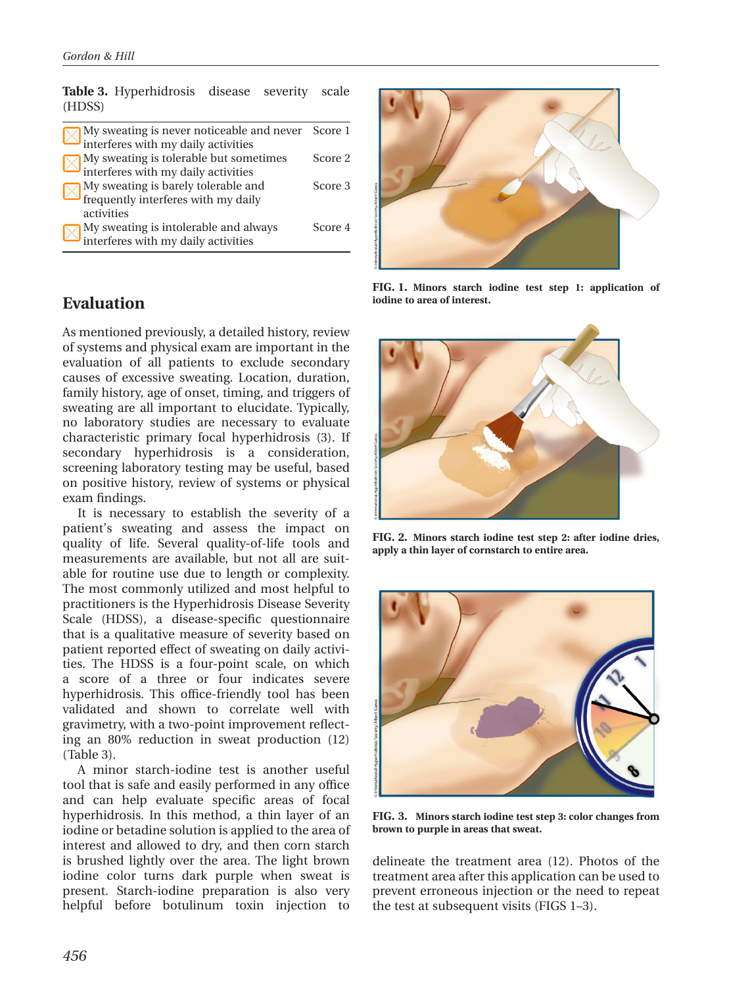| My sweating is never noticeable and never Score 1<br>interferes with my daily activities |         |
|------------------------------------------------------------------------------------------|---------|
|                                                                                          |         |
| My sweating is tolerable but sometimes                                                   | Score 2 |
| interferes with my daily activities                                                      |         |
| My sweating is barely tolerable and<br>frequently interferes with my daily               | Score 3 |
|                                                                                          |         |
| activities                                                                               |         |
| My sweating is intolerable and always                                                    | Score 4 |
| interferes with my daily activities                                                      |         |
|                                                                                          |         |

**Table 3.** Hyperhidrosis disease severity scale (HDSS)

#### **Evaluation**

As mentioned previously, a detailed history, review of systems and physical exam are important in the evaluation of all patients to exclude secondary causes of excessive sweating. Location, duration, family history, age of onset, timing, and triggers of sweating are all important to elucidate. Typically, no laboratory studies are necessary to evaluate characteristic primary focal hyperhidrosis (3). If secondary hyperhidrosis is a consideration, screening laboratory testing may be useful, based on positive history, review of systems or physical exam findings.

It is necessary to establish the severity of a patient's sweating and assess the impact on quality of life. Several quality-of-life tools and measurements are available, but not all are suitable for routine use due to length or complexity. The most commonly utilized and most helpful to practitioners is the Hyperhidrosis Disease Severity Scale (HDSS), a disease-specific questionnaire that is a qualitative measure of severity based on patient reported effect of sweating on daily activities. The HDSS is a four-point scale, on which a score of a three or four indicates severe hyperhidrosis. This office-friendly tool has been validated and shown to correlate well with gravimetry, with a two-point improvement reflecting an 80% reduction in sweat production (12) (Table 3).

A minor starch-iodine test is another useful tool that is safe and easily performed in any office and can help evaluate specific areas of focal hyperhidrosis. In this method, a thin layer of an iodine or betadine solution is applied to the area of interest and allowed to dry, and then corn starch is brushed lightly over the area. The light brown iodine color turns dark purple when sweat is present. Starch-iodine preparation is also very helpful before botulinum toxin injection to



**FIG. 1. Minors starch iodine test step 1: application of iodine to area of interest.**



**FIG. 2. Minors starch iodine test step 2: after iodine dries, apply a thin layer of cornstarch to entire area.**



**FIG. 3. Minors starch iodine test step 3: color changes from brown to purple in areas that sweat.**

delineate the treatment area (12). Photos of the treatment area after this application can be used to prevent erroneous injection or the need to repeat the test at subsequent visits (FIGS 1–3).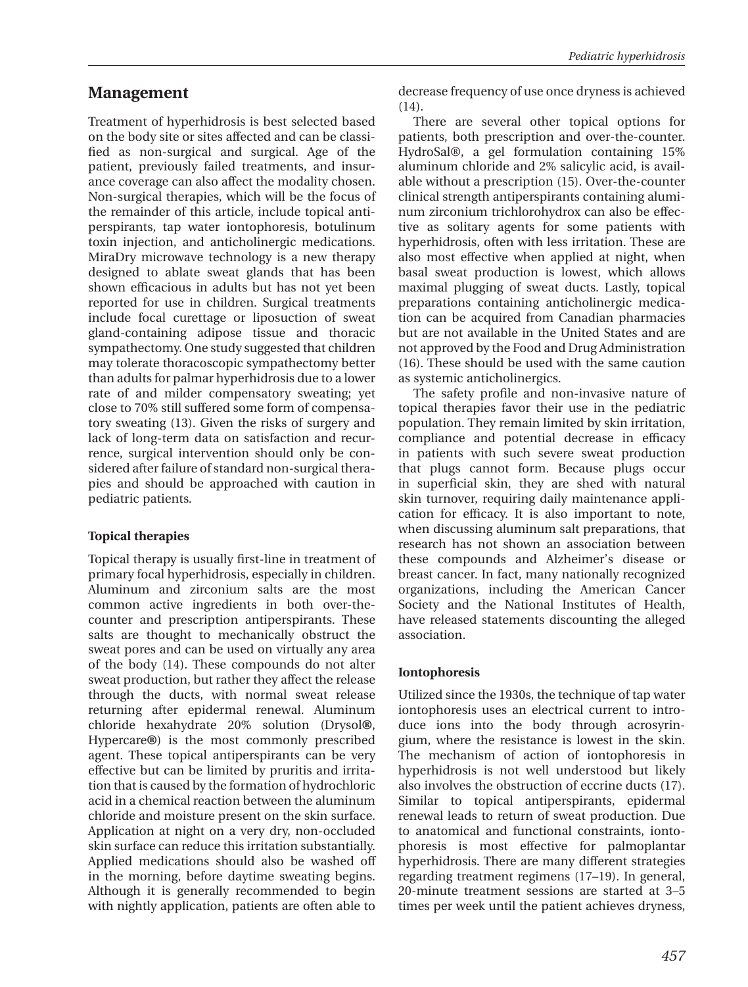#### **Management**

Treatment of hyperhidrosis is best selected based on the body site or sites affected and can be classified as non-surgical and surgical. Age of the patient, previously failed treatments, and insurance coverage can also affect the modality chosen. Non-surgical therapies, which will be the focus of the remainder of this article, include topical antiperspirants, tap water iontophoresis, botulinum toxin injection, and anticholinergic medications. MiraDry microwave technology is a new therapy designed to ablate sweat glands that has been shown efficacious in adults but has not yet been reported for use in children. Surgical treatments include focal curettage or liposuction of sweat gland-containing adipose tissue and thoracic sympathectomy. One study suggested that children may tolerate thoracoscopic sympathectomy better than adults for palmar hyperhidrosis due to a lower rate of and milder compensatory sweating; yet close to 70% still suffered some form of compensatory sweating (13). Given the risks of surgery and lack of long-term data on satisfaction and recurrence, surgical intervention should only be considered after failure of standard non-surgical therapies and should be approached with caution in pediatric patients.

#### **Topical therapies**

Topical therapy is usually first-line in treatment of primary focal hyperhidrosis, especially in children. Aluminum and zirconium salts are the most common active ingredients in both over-thecounter and prescription antiperspirants. These salts are thought to mechanically obstruct the sweat pores and can be used on virtually any area of the body (14). These compounds do not alter sweat production, but rather they affect the release through the ducts, with normal sweat release returning after epidermal renewal. Aluminum chloride hexahydrate 20% solution (Drysol**®**, Hypercare**®**) is the most commonly prescribed agent. These topical antiperspirants can be very effective but can be limited by pruritis and irritation that is caused by the formation of hydrochloric acid in a chemical reaction between the aluminum chloride and moisture present on the skin surface. Application at night on a very dry, non-occluded skin surface can reduce this irritation substantially. Applied medications should also be washed off in the morning, before daytime sweating begins. Although it is generally recommended to begin with nightly application, patients are often able to

decrease frequency of use once dryness is achieved (14).

There are several other topical options for patients, both prescription and over-the-counter. HydroSal®, a gel formulation containing 15% aluminum chloride and 2% salicylic acid, is available without a prescription (15). Over-the-counter clinical strength antiperspirants containing aluminum zirconium trichlorohydrox can also be effective as solitary agents for some patients with hyperhidrosis, often with less irritation. These are also most effective when applied at night, when basal sweat production is lowest, which allows maximal plugging of sweat ducts. Lastly, topical preparations containing anticholinergic medication can be acquired from Canadian pharmacies but are not available in the United States and are not approved by the Food and Drug Administration (16). These should be used with the same caution as systemic anticholinergics.

The safety profile and non-invasive nature of topical therapies favor their use in the pediatric population. They remain limited by skin irritation, compliance and potential decrease in efficacy in patients with such severe sweat production that plugs cannot form. Because plugs occur in superficial skin, they are shed with natural skin turnover, requiring daily maintenance application for efficacy. It is also important to note, when discussing aluminum salt preparations, that research has not shown an association between these compounds and Alzheimer's disease or breast cancer. In fact, many nationally recognized organizations, including the American Cancer Society and the National Institutes of Health, have released statements discounting the alleged association.

#### **Iontophoresis**

Utilized since the 1930s, the technique of tap water iontophoresis uses an electrical current to introduce ions into the body through acrosyringium, where the resistance is lowest in the skin. The mechanism of action of iontophoresis in hyperhidrosis is not well understood but likely also involves the obstruction of eccrine ducts (17). Similar to topical antiperspirants, epidermal renewal leads to return of sweat production. Due to anatomical and functional constraints, iontophoresis is most effective for palmoplantar hyperhidrosis. There are many different strategies regarding treatment regimens (17–19). In general, 20-minute treatment sessions are started at 3–5 times per week until the patient achieves dryness,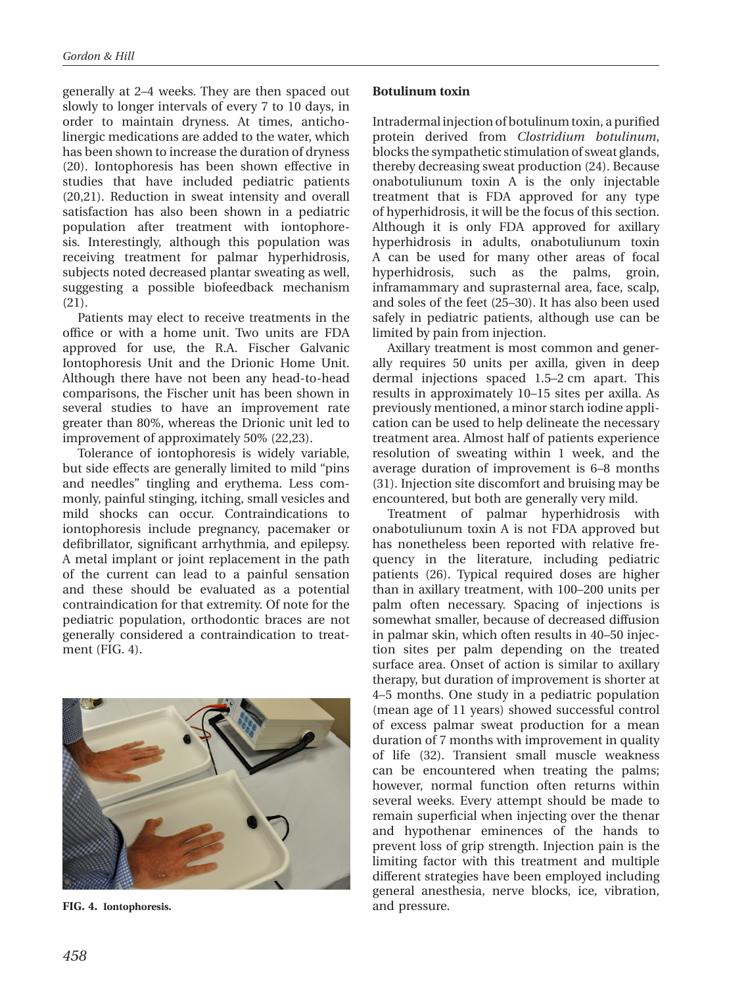generally at 2–4 weeks. They are then spaced out slowly to longer intervals of every 7 to 10 days, in order to maintain dryness. At times, anticholinergic medications are added to the water, which has been shown to increase the duration of dryness (20). Iontophoresis has been shown effective in studies that have included pediatric patients (20,21). Reduction in sweat intensity and overall satisfaction has also been shown in a pediatric population after treatment with iontophoresis. Interestingly, although this population was receiving treatment for palmar hyperhidrosis, subjects noted decreased plantar sweating as well, suggesting a possible biofeedback mechanism (21).

Patients may elect to receive treatments in the office or with a home unit. Two units are FDA approved for use, the R.A. Fischer Galvanic Iontophoresis Unit and the Drionic Home Unit. Although there have not been any head-to-head comparisons, the Fischer unit has been shown in several studies to have an improvement rate greater than 80%, whereas the Drionic unit led to improvement of approximately 50% (22,23).

Tolerance of iontophoresis is widely variable, but side effects are generally limited to mild "pins and needles" tingling and erythema. Less commonly, painful stinging, itching, small vesicles and mild shocks can occur. Contraindications to iontophoresis include pregnancy, pacemaker or defibrillator, significant arrhythmia, and epilepsy. A metal implant or joint replacement in the path of the current can lead to a painful sensation and these should be evaluated as a potential contraindication for that extremity. Of note for the pediatric population, orthodontic braces are not generally considered a contraindication to treatment (FIG. 4).



**FIG. 4. Iontophoresis.** and pressure.

#### **Botulinum toxin**

Intradermal injection of botulinum toxin, a purified protein derived from *Clostridium botulinum*, blocks the sympathetic stimulation of sweat glands, thereby decreasing sweat production (24). Because onabotuliunum toxin A is the only injectable treatment that is FDA approved for any type of hyperhidrosis, it will be the focus of this section. Although it is only FDA approved for axillary hyperhidrosis in adults, onabotuliunum toxin A can be used for many other areas of focal hyperhidrosis, such as the palms, groin, inframammary and suprasternal area, face, scalp, and soles of the feet (25–30). It has also been used safely in pediatric patients, although use can be limited by pain from injection.

Axillary treatment is most common and generally requires 50 units per axilla, given in deep dermal injections spaced 1.5–2 cm apart. This results in approximately 10–15 sites per axilla. As previously mentioned, a minor starch iodine application can be used to help delineate the necessary treatment area. Almost half of patients experience resolution of sweating within 1 week, and the average duration of improvement is 6–8 months (31). Injection site discomfort and bruising may be encountered, but both are generally very mild.

Treatment of palmar hyperhidrosis with onabotuliunum toxin A is not FDA approved but has nonetheless been reported with relative frequency in the literature, including pediatric patients (26). Typical required doses are higher than in axillary treatment, with 100–200 units per palm often necessary. Spacing of injections is somewhat smaller, because of decreased diffusion in palmar skin, which often results in 40–50 injection sites per palm depending on the treated surface area. Onset of action is similar to axillary therapy, but duration of improvement is shorter at 4–5 months. One study in a pediatric population (mean age of 11 years) showed successful control of excess palmar sweat production for a mean duration of 7 months with improvement in quality of life (32). Transient small muscle weakness can be encountered when treating the palms; however, normal function often returns within several weeks. Every attempt should be made to remain superficial when injecting over the thenar and hypothenar eminences of the hands to prevent loss of grip strength. Injection pain is the limiting factor with this treatment and multiple different strategies have been employed including general anesthesia, nerve blocks, ice, vibration,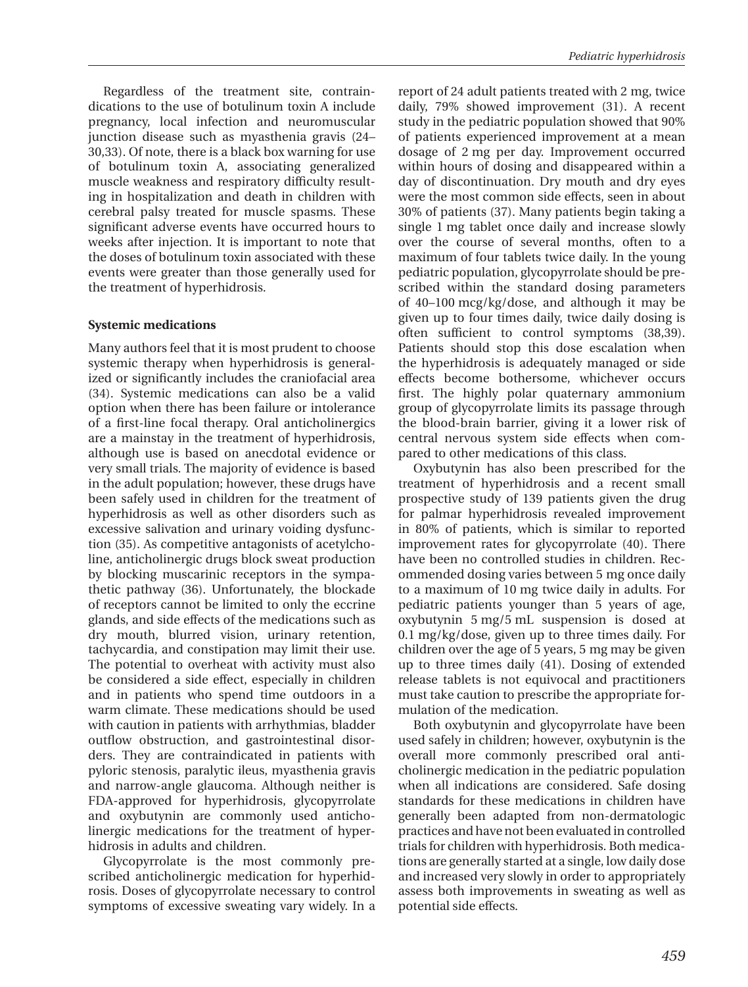Regardless of the treatment site, contraindications to the use of botulinum toxin A include pregnancy, local infection and neuromuscular junction disease such as myasthenia gravis (24– 30,33). Of note, there is a black box warning for use of botulinum toxin A, associating generalized muscle weakness and respiratory difficulty resulting in hospitalization and death in children with cerebral palsy treated for muscle spasms. These significant adverse events have occurred hours to weeks after injection. It is important to note that the doses of botulinum toxin associated with these events were greater than those generally used for the treatment of hyperhidrosis.

#### **Systemic medications**

Many authors feel that it is most prudent to choose systemic therapy when hyperhidrosis is generalized or significantly includes the craniofacial area (34). Systemic medications can also be a valid option when there has been failure or intolerance of a first-line focal therapy. Oral anticholinergics are a mainstay in the treatment of hyperhidrosis, although use is based on anecdotal evidence or very small trials. The majority of evidence is based in the adult population; however, these drugs have been safely used in children for the treatment of hyperhidrosis as well as other disorders such as excessive salivation and urinary voiding dysfunction (35). As competitive antagonists of acetylcholine, anticholinergic drugs block sweat production by blocking muscarinic receptors in the sympathetic pathway (36). Unfortunately, the blockade of receptors cannot be limited to only the eccrine glands, and side effects of the medications such as dry mouth, blurred vision, urinary retention, tachycardia, and constipation may limit their use. The potential to overheat with activity must also be considered a side effect, especially in children and in patients who spend time outdoors in a warm climate. These medications should be used with caution in patients with arrhythmias, bladder outflow obstruction, and gastrointestinal disorders. They are contraindicated in patients with pyloric stenosis, paralytic ileus, myasthenia gravis and narrow-angle glaucoma. Although neither is FDA-approved for hyperhidrosis, glycopyrrolate and oxybutynin are commonly used anticholinergic medications for the treatment of hyperhidrosis in adults and children.

Glycopyrrolate is the most commonly prescribed anticholinergic medication for hyperhidrosis. Doses of glycopyrrolate necessary to control symptoms of excessive sweating vary widely. In a report of 24 adult patients treated with 2 mg, twice daily, 79% showed improvement (31). A recent study in the pediatric population showed that 90% of patients experienced improvement at a mean dosage of 2 mg per day. Improvement occurred within hours of dosing and disappeared within a day of discontinuation. Dry mouth and dry eyes were the most common side effects, seen in about 30% of patients (37). Many patients begin taking a single 1 mg tablet once daily and increase slowly over the course of several months, often to a maximum of four tablets twice daily. In the young pediatric population, glycopyrrolate should be prescribed within the standard dosing parameters of 40–100 mcg/kg/dose, and although it may be given up to four times daily, twice daily dosing is often sufficient to control symptoms (38,39). Patients should stop this dose escalation when the hyperhidrosis is adequately managed or side effects become bothersome, whichever occurs first. The highly polar quaternary ammonium group of glycopyrrolate limits its passage through the blood-brain barrier, giving it a lower risk of central nervous system side effects when compared to other medications of this class.

Oxybutynin has also been prescribed for the treatment of hyperhidrosis and a recent small prospective study of 139 patients given the drug for palmar hyperhidrosis revealed improvement in 80% of patients, which is similar to reported improvement rates for glycopyrrolate (40). There have been no controlled studies in children. Recommended dosing varies between 5 mg once daily to a maximum of 10 mg twice daily in adults. For pediatric patients younger than 5 years of age, oxybutynin 5 mg/5 mL suspension is dosed at 0.1 mg/kg/dose, given up to three times daily. For children over the age of 5 years, 5 mg may be given up to three times daily (41). Dosing of extended release tablets is not equivocal and practitioners must take caution to prescribe the appropriate formulation of the medication.

Both oxybutynin and glycopyrrolate have been used safely in children; however, oxybutynin is the overall more commonly prescribed oral anticholinergic medication in the pediatric population when all indications are considered. Safe dosing standards for these medications in children have generally been adapted from non-dermatologic practices and have not been evaluated in controlled trials for children with hyperhidrosis. Both medications are generally started at a single, low daily dose and increased very slowly in order to appropriately assess both improvements in sweating as well as potential side effects.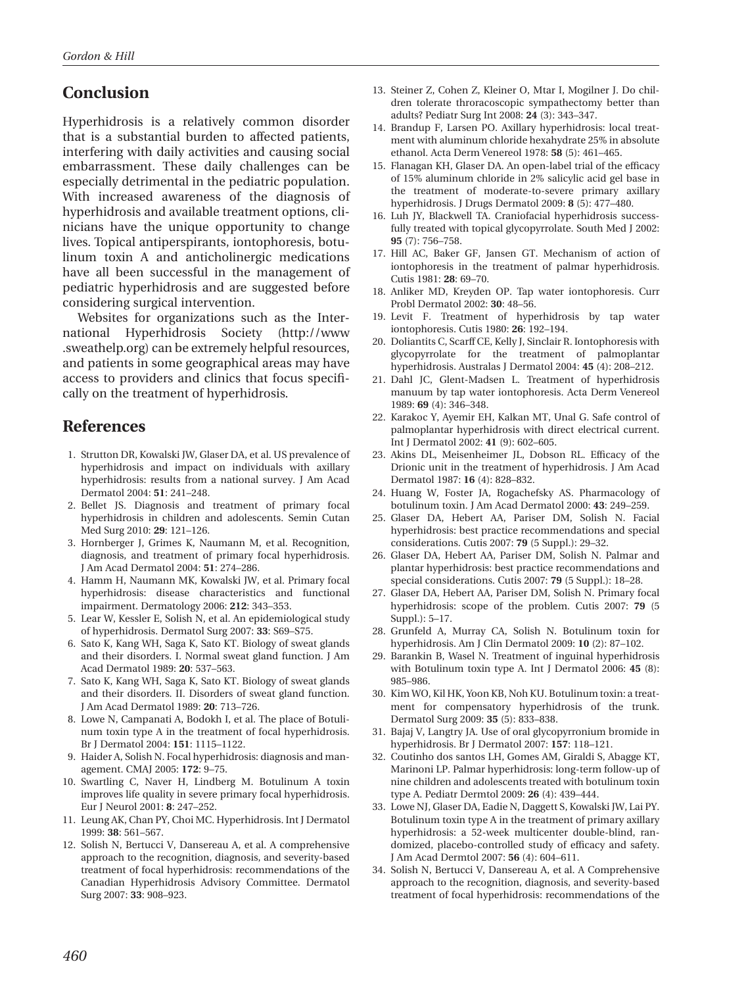## **Conclusion**

Hyperhidrosis is a relatively common disorder that is a substantial burden to affected patients, interfering with daily activities and causing social embarrassment. These daily challenges can be especially detrimental in the pediatric population. With increased awareness of the diagnosis of hyperhidrosis and available treatment options, clinicians have the unique opportunity to change lives. Topical antiperspirants, iontophoresis, botulinum toxin A and anticholinergic medications have all been successful in the management of pediatric hyperhidrosis and are suggested before considering surgical intervention.

Websites for organizations such as the International Hyperhidrosis Society [\(http://www](http://www.sweathelp.org) [.sweathelp.org\)](http://www.sweathelp.org) can be extremely helpful resources, and patients in some geographical areas may have access to providers and clinics that focus specifically on the treatment of hyperhidrosis.

#### **References**

- 1. Strutton DR, Kowalski JW, Glaser DA, et al. US prevalence of hyperhidrosis and impact on individuals with axillary hyperhidrosis: results from a national survey. J Am Acad Dermatol 2004: **51**: 241–248.
- 2. Bellet JS. Diagnosis and treatment of primary focal hyperhidrosis in children and adolescents. Semin Cutan Med Surg 2010: **29**: 121–126.
- 3. Hornberger J, Grimes K, Naumann M, et al. Recognition, diagnosis, and treatment of primary focal hyperhidrosis. J Am Acad Dermatol 2004: **51**: 274–286.
- 4. Hamm H, Naumann MK, Kowalski JW, et al. Primary focal hyperhidrosis: disease characteristics and functional impairment. Dermatology 2006: **212**: 343–353.
- 5. Lear W, Kessler E, Solish N, et al. An epidemiological study of hyperhidrosis. Dermatol Surg 2007: **33**: S69–S75.
- 6. Sato K, Kang WH, Saga K, Sato KT. Biology of sweat glands and their disorders. I. Normal sweat gland function. J Am Acad Dermatol 1989: **20**: 537–563.
- 7. Sato K, Kang WH, Saga K, Sato KT. Biology of sweat glands and their disorders. II. Disorders of sweat gland function. J Am Acad Dermatol 1989: **20**: 713–726.
- 8. Lowe N, Campanati A, Bodokh I, et al. The place of Botulinum toxin type A in the treatment of focal hyperhidrosis. Br J Dermatol 2004: **151**: 1115–1122.
- 9. Haider A, Solish N. Focal hyperhidrosis: diagnosis and management. CMAJ 2005: **172**: 9–75.
- 10. Swartling C, Naver H, Lindberg M. Botulinum A toxin improves life quality in severe primary focal hyperhidrosis. Eur J Neurol 2001: **8**: 247–252.
- 11. Leung AK, Chan PY, Choi MC. Hyperhidrosis. Int J Dermatol 1999: **38**: 561–567.
- 12. Solish N, Bertucci V, Dansereau A, et al. A comprehensive approach to the recognition, diagnosis, and severity-based treatment of focal hyperhidrosis: recommendations of the Canadian Hyperhidrosis Advisory Committee. Dermatol Surg 2007: **33**: 908–923.
- 13. Steiner Z, Cohen Z, Kleiner O, Mtar I, Mogilner J. Do children tolerate throracoscopic sympathectomy better than adults? Pediatr Surg Int 2008: **24** (3): 343–347.
- 14. Brandup F, Larsen PO. Axillary hyperhidrosis: local treatment with aluminum chloride hexahydrate 25% in absolute ethanol. Acta Derm Venereol 1978: **58** (5): 461–465.
- 15. Flanagan KH, Glaser DA. An open-label trial of the efficacy of 15% aluminum chloride in 2% salicylic acid gel base in the treatment of moderate-to-severe primary axillary hyperhidrosis. J Drugs Dermatol 2009: **8** (5): 477–480.
- 16. Luh JY, Blackwell TA. Craniofacial hyperhidrosis successfully treated with topical glycopyrrolate. South Med J 2002: **95** (7): 756–758.
- 17. Hill AC, Baker GF, Jansen GT. Mechanism of action of iontophoresis in the treatment of palmar hyperhidrosis. Cutis 1981: **28**: 69–70.
- 18. Anliker MD, Kreyden OP. Tap water iontophoresis. Curr Probl Dermatol 2002: **30**: 48–56.
- 19. Levit F. Treatment of hyperhidrosis by tap water iontophoresis. Cutis 1980: **26**: 192–194.
- 20. Doliantits C, Scarff CE, Kelly J, Sinclair R. Iontophoresis with glycopyrrolate for the treatment of palmoplantar hyperhidrosis. Australas J Dermatol 2004: **45** (4): 208–212.
- 21. Dahl JC, Glent-Madsen L. Treatment of hyperhidrosis manuum by tap water iontophoresis. Acta Derm Venereol 1989: **69** (4): 346–348.
- 22. Karakoc Y, Ayemir EH, Kalkan MT, Unal G. Safe control of palmoplantar hyperhidrosis with direct electrical current. Int J Dermatol 2002: **41** (9): 602–605.
- 23. Akins DL, Meisenheimer JL, Dobson RL. Efficacy of the Drionic unit in the treatment of hyperhidrosis. J Am Acad Dermatol 1987: **16** (4): 828–832.
- Huang W, Foster JA, Rogachefsky AS. Pharmacology of botulinum toxin. J Am Acad Dermatol 2000: **43**: 249–259.
- 25. Glaser DA, Hebert AA, Pariser DM, Solish N. Facial hyperhidrosis: best practice recommendations and special considerations. Cutis 2007: **79** (5 Suppl.): 29–32.
- 26. Glaser DA, Hebert AA, Pariser DM, Solish N. Palmar and plantar hyperhidrosis: best practice recommendations and special considerations. Cutis 2007: **79** (5 Suppl.): 18–28.
- 27. Glaser DA, Hebert AA, Pariser DM, Solish N. Primary focal hyperhidrosis: scope of the problem. Cutis 2007: **79** (5 Suppl.): 5–17.
- 28. Grunfeld A, Murray CA, Solish N. Botulinum toxin for hyperhidrosis. Am J Clin Dermatol 2009: **10** (2): 87–102.
- 29. Barankin B, Wasel N. Treatment of inguinal hyperhidrosis with Botulinum toxin type A. Int J Dermatol 2006: **45** (8): 985–986.
- 30. Kim WO, Kil HK, Yoon KB, Noh KU. Botulinum toxin: a treatment for compensatory hyperhidrosis of the trunk. Dermatol Surg 2009: **35** (5): 833–838.
- 31. Bajaj V, Langtry JA. Use of oral glycopyrronium bromide in hyperhidrosis. Br J Dermatol 2007: **157**: 118–121.
- 32. Coutinho dos santos LH, Gomes AM, Giraldi S, Abagge KT, Marinoni LP. Palmar hyperhidrosis: long-term follow-up of nine children and adolescents treated with botulinum toxin type A. Pediatr Dermtol 2009: **26** (4): 439–444.
- 33. Lowe NJ, Glaser DA, Eadie N, Daggett S, Kowalski JW, Lai PY. Botulinum toxin type A in the treatment of primary axillary hyperhidrosis: a 52-week multicenter double-blind, randomized, placebo-controlled study of efficacy and safety. J Am Acad Dermtol 2007: **56** (4): 604–611.
- 34. Solish N, Bertucci V, Dansereau A, et al. A Comprehensive approach to the recognition, diagnosis, and severity-based treatment of focal hyperhidrosis: recommendations of the